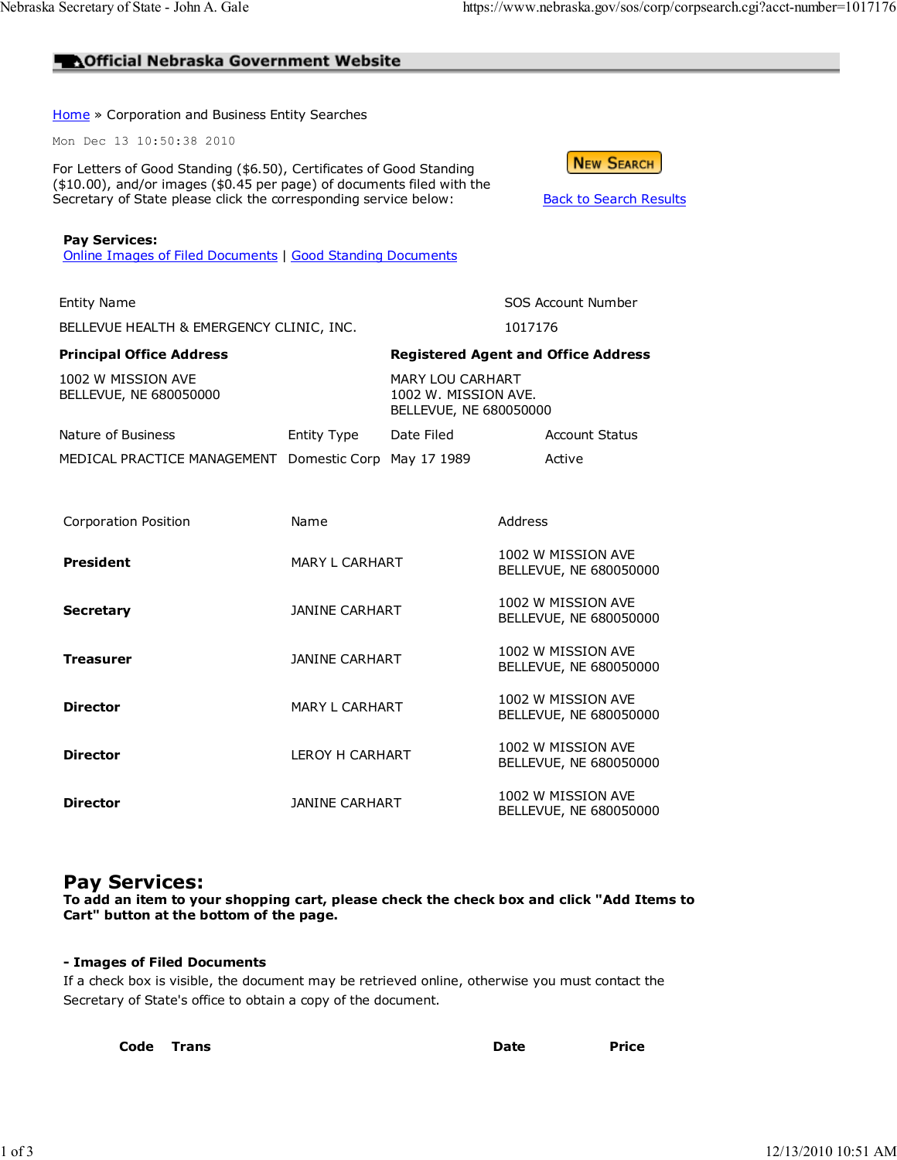### **AOfficial Nebraska Government Website**

Home » Corporation and Business Entity Searches

Mon Dec 13 10:50:38 2010

Pay Services:

For Letters of Good Standing (\$6.50), Certificates of Good Standing (\$10.00), and/or images (\$0.45 per page) of documents filed with the Secretary of State please click the corresponding service below: Back to Search Results

|  | NEW SEARCH |  |
|--|------------|--|
|  |            |  |
|  |            |  |

|  | Online Images of Filed Documents   Good Standing Documents |  |  |
|--|------------------------------------------------------------|--|--|
|  |                                                            |  |  |

BELLEVUE HEALTH & EMERGENCY CLINIC, INC. 1017176

#### Principal Office Address **Registered Agent and Office Address**

1002 W MISSION AVE BELLEVUE, NE 680050000 MARY LOU CARHART

1002 W. MISSION AVE. BELLEVUE, NE 680050000

| Nature of Business                                    | Entity Type | Date Filed | <b>Account Status</b> |
|-------------------------------------------------------|-------------|------------|-----------------------|
| MEDICAL PRACTICE MANAGEMENT Domestic Corp May 17 1989 |             |            | Active                |

Entity Name **SOS Account Number** SOS Account Number

| Corporation Position | Name                   | Address                                      |
|----------------------|------------------------|----------------------------------------------|
| President            | <b>MARY L CARHART</b>  | 1002 W MISSION AVE<br>BELLEVUE, NE 680050000 |
| <b>Secretary</b>     | JANINE CARHART         | 1002 W MISSION AVE<br>BELLEVUE, NE 680050000 |
| Treasurer            | JANINE CARHART         | 1002 W MISSION AVE<br>BELLEVUE, NE 680050000 |
| <b>Director</b>      | <b>MARY L CARHART</b>  | 1002 W MISSION AVE<br>BELLEVUE, NE 680050000 |
| <b>Director</b>      | <b>LEROY H CARHART</b> | 1002 W MISSION AVE<br>BELLEVUE, NE 680050000 |
| <b>Director</b>      | <b>JANINE CARHART</b>  | 1002 W MISSION AVE<br>BELLEVUE, NE 680050000 |

## Pay Services:

To add an item to your shopping cart, please check the check box and click "Add Items to Cart" button at the bottom of the page.

#### - Images of Filed Documents

If a check box is visible, the document may be retrieved online, otherwise you must contact the Secretary of State's office to obtain a copy of the document.

| Code Trans | <b>Date</b> | <b>Price</b> |
|------------|-------------|--------------|
|            |             |              |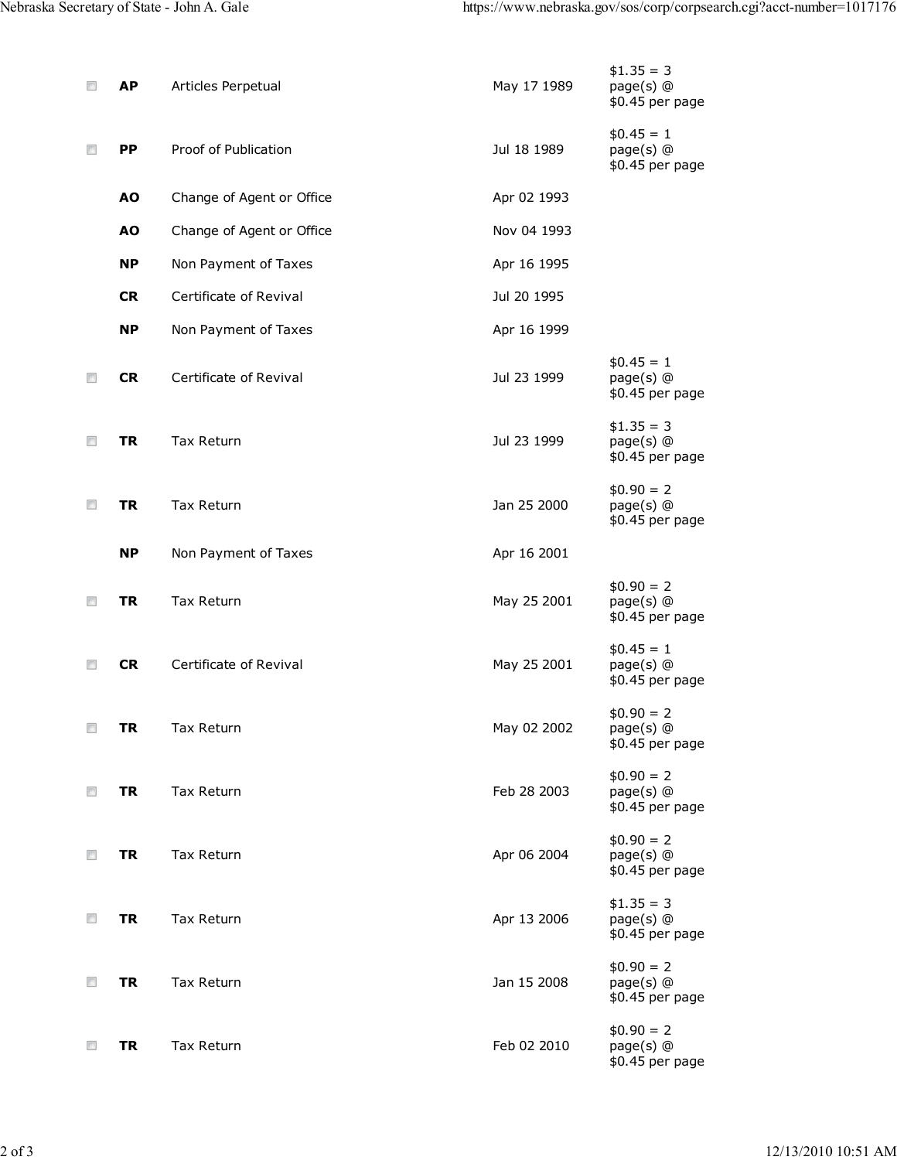| ▣      | АP        | Articles Perpetual        | May 17 1989 | $$1.35 = 3$<br>page(s) @<br>\$0.45 per page |
|--------|-----------|---------------------------|-------------|---------------------------------------------|
| $\Box$ | <b>PP</b> | Proof of Publication      | Jul 18 1989 | $$0.45 = 1$<br>page(s) @<br>\$0.45 per page |
|        | <b>AO</b> | Change of Agent or Office | Apr 02 1993 |                                             |
|        | <b>AO</b> | Change of Agent or Office | Nov 04 1993 |                                             |
|        | <b>NP</b> | Non Payment of Taxes      | Apr 16 1995 |                                             |
|        | <b>CR</b> | Certificate of Revival    | Jul 20 1995 |                                             |
|        | <b>NP</b> | Non Payment of Taxes      | Apr 16 1999 |                                             |
| $\Box$ | <b>CR</b> | Certificate of Revival    | Jul 23 1999 | $$0.45 = 1$<br>page(s) @<br>\$0.45 per page |
| $\Box$ | <b>TR</b> | Tax Return                | Jul 23 1999 | $$1.35 = 3$<br>page(s) @<br>\$0.45 per page |
| $\Box$ | <b>TR</b> | <b>Tax Return</b>         | Jan 25 2000 | $$0.90 = 2$<br>page(s) @<br>\$0.45 per page |
|        | <b>NP</b> | Non Payment of Taxes      | Apr 16 2001 |                                             |
| $\Box$ | TR        | <b>Tax Return</b>         | May 25 2001 | $$0.90 = 2$<br>page(s) @<br>\$0.45 per page |
| $\Box$ | <b>CR</b> | Certificate of Revival    | May 25 2001 | $$0.45 = 1$<br>page(s) @<br>\$0.45 per page |
| $\Box$ | TR        | Tax Return                | May 02 2002 | $$0.90 = 2$<br>page(s) @<br>\$0.45 per page |
| $\Box$ | TR        | Tax Return                | Feb 28 2003 | $$0.90 = 2$<br>page(s) @<br>\$0.45 per page |
| $\Box$ | TR        | Tax Return                | Apr 06 2004 | $$0.90 = 2$<br>page(s) @<br>\$0.45 per page |
| Π      | TR        | <b>Tax Return</b>         | Apr 13 2006 | $$1.35 = 3$<br>page(s) @<br>\$0.45 per page |
| $\Box$ | TR        | Tax Return                | Jan 15 2008 | $$0.90 = 2$<br>page(s) @<br>\$0.45 per page |
| $\Box$ | <b>TR</b> | Tax Return                | Feb 02 2010 | $$0.90 = 2$<br>page(s) @<br>\$0.45 per page |